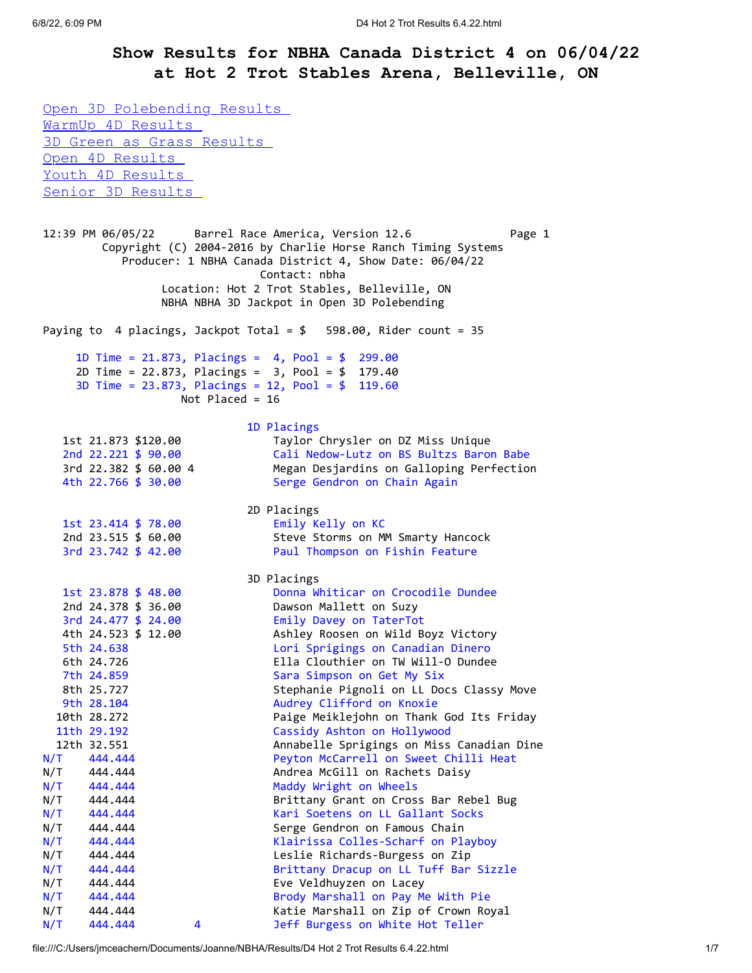## **Show Results for NBHA Canada District 4 on 06/04/22 at Hot 2 Trot Stables Arena, Belleville, ON**

Open 3D Polebending Results [WarmUp 4D Results](https://mail-attachment.googleusercontent.com/attachment/u/0/?ui=2&ik=a0d9b9febd&attid=0.1&permmsgid=msg-f:1734814022982812886&th=18134c299741c4d6&view=att&disp=inline&realattid=f_l41jd2fk0&ser=1&saddbat=ANGjdJ9rudSxOtiK0gAaxNoK51V4ESAJqhkQtsShdio1H1oEKMwhpYry40yBSAvGDv37LUf3DBH3IIME9r5qhW8vNW1yUZDBR6vA5jIoHX5ui62sv6JUwrtangGzK2UtNg-FzpxQcPkKmR7dgwg2NRL-eDj59F91st2qP5D9RC65l9hYS5nsV43R9CMeyrP49bWn-Pmt3mguoIFY7a9Et0qowDvmW3c6Xim-0fSkhK8pBECfNNLhr7_muhLAup6PTaHxfWzOMy8-4Ll4IDKESpkKEhuEC5aQr5w64dV4EGBejGnk-OOJ8bSxFcMVt6nd6mEKHVRLK_Zrhe0GsJxxLQdpJ6ksXhskFfCfK-pRlD3pOLUHSZyQeJ4UI3CE0YLoPMUYEwfsCa5Q2sjB6RRSDVXQo3mpfNPpizAzmJ7_Nocy-JstbGOYdYjUSmWhaZArfu6rs95ktmdhV4D7h565__KAKzCqScdewCfaGAmoRcFTr9ksTZN4eQooPifN1rvpDG1JqwlincNCd63I6kBjZG0uLmwiWNyYkWh6guZrteuBYxDSkpyHbQKh1QH3kOzI2XvHd3udfVhenmpeqbE9IIq6uwsXB_gB8X7f9eAVX_Ymxp9YM9Iq98LHNCZqY4oQN6AMlSvk5otWpTLzOEc1n6JSPxxdfJJzU92K6P3gh7G9U5U1n3QPc53Mm-becct82lQha9uKkKp3nivbe06BUWyuwYqq3qCNJWn-AZnXuEWGe0wOj971I-lwQZyzzfyDNLTnOqrpP8Rg-TJ0205w6l8lrzjubTYqnxr-yVQreE5eFewzm2U0W_7o8YEiOJl4o4iIFK5_5I458IYd1lrZ#m__WarmUp+4D)  [3D Green as Grass Results](https://mail-attachment.googleusercontent.com/attachment/u/0/?ui=2&ik=a0d9b9febd&attid=0.1&permmsgid=msg-f:1734814022982812886&th=18134c299741c4d6&view=att&disp=inline&realattid=f_l41jd2fk0&ser=1&saddbat=ANGjdJ9rudSxOtiK0gAaxNoK51V4ESAJqhkQtsShdio1H1oEKMwhpYry40yBSAvGDv37LUf3DBH3IIME9r5qhW8vNW1yUZDBR6vA5jIoHX5ui62sv6JUwrtangGzK2UtNg-FzpxQcPkKmR7dgwg2NRL-eDj59F91st2qP5D9RC65l9hYS5nsV43R9CMeyrP49bWn-Pmt3mguoIFY7a9Et0qowDvmW3c6Xim-0fSkhK8pBECfNNLhr7_muhLAup6PTaHxfWzOMy8-4Ll4IDKESpkKEhuEC5aQr5w64dV4EGBejGnk-OOJ8bSxFcMVt6nd6mEKHVRLK_Zrhe0GsJxxLQdpJ6ksXhskFfCfK-pRlD3pOLUHSZyQeJ4UI3CE0YLoPMUYEwfsCa5Q2sjB6RRSDVXQo3mpfNPpizAzmJ7_Nocy-JstbGOYdYjUSmWhaZArfu6rs95ktmdhV4D7h565__KAKzCqScdewCfaGAmoRcFTr9ksTZN4eQooPifN1rvpDG1JqwlincNCd63I6kBjZG0uLmwiWNyYkWh6guZrteuBYxDSkpyHbQKh1QH3kOzI2XvHd3udfVhenmpeqbE9IIq6uwsXB_gB8X7f9eAVX_Ymxp9YM9Iq98LHNCZqY4oQN6AMlSvk5otWpTLzOEc1n6JSPxxdfJJzU92K6P3gh7G9U5U1n3QPc53Mm-becct82lQha9uKkKp3nivbe06BUWyuwYqq3qCNJWn-AZnXuEWGe0wOj971I-lwQZyzzfyDNLTnOqrpP8Rg-TJ0205w6l8lrzjubTYqnxr-yVQreE5eFewzm2U0W_7o8YEiOJl4o4iIFK5_5I458IYd1lrZ#m__3D+Green+as+Grass)  Open 4D Results [Youth 4D Results](https://mail-attachment.googleusercontent.com/attachment/u/0/?ui=2&ik=a0d9b9febd&attid=0.1&permmsgid=msg-f:1734814022982812886&th=18134c299741c4d6&view=att&disp=inline&realattid=f_l41jd2fk0&ser=1&saddbat=ANGjdJ9rudSxOtiK0gAaxNoK51V4ESAJqhkQtsShdio1H1oEKMwhpYry40yBSAvGDv37LUf3DBH3IIME9r5qhW8vNW1yUZDBR6vA5jIoHX5ui62sv6JUwrtangGzK2UtNg-FzpxQcPkKmR7dgwg2NRL-eDj59F91st2qP5D9RC65l9hYS5nsV43R9CMeyrP49bWn-Pmt3mguoIFY7a9Et0qowDvmW3c6Xim-0fSkhK8pBECfNNLhr7_muhLAup6PTaHxfWzOMy8-4Ll4IDKESpkKEhuEC5aQr5w64dV4EGBejGnk-OOJ8bSxFcMVt6nd6mEKHVRLK_Zrhe0GsJxxLQdpJ6ksXhskFfCfK-pRlD3pOLUHSZyQeJ4UI3CE0YLoPMUYEwfsCa5Q2sjB6RRSDVXQo3mpfNPpizAzmJ7_Nocy-JstbGOYdYjUSmWhaZArfu6rs95ktmdhV4D7h565__KAKzCqScdewCfaGAmoRcFTr9ksTZN4eQooPifN1rvpDG1JqwlincNCd63I6kBjZG0uLmwiWNyYkWh6guZrteuBYxDSkpyHbQKh1QH3kOzI2XvHd3udfVhenmpeqbE9IIq6uwsXB_gB8X7f9eAVX_Ymxp9YM9Iq98LHNCZqY4oQN6AMlSvk5otWpTLzOEc1n6JSPxxdfJJzU92K6P3gh7G9U5U1n3QPc53Mm-becct82lQha9uKkKp3nivbe06BUWyuwYqq3qCNJWn-AZnXuEWGe0wOj971I-lwQZyzzfyDNLTnOqrpP8Rg-TJ0205w6l8lrzjubTYqnxr-yVQreE5eFewzm2U0W_7o8YEiOJl4o4iIFK5_5I458IYd1lrZ#m__Youth+4D)  [Senior 3D Results](https://mail-attachment.googleusercontent.com/attachment/u/0/?ui=2&ik=a0d9b9febd&attid=0.1&permmsgid=msg-f:1734814022982812886&th=18134c299741c4d6&view=att&disp=inline&realattid=f_l41jd2fk0&ser=1&saddbat=ANGjdJ9rudSxOtiK0gAaxNoK51V4ESAJqhkQtsShdio1H1oEKMwhpYry40yBSAvGDv37LUf3DBH3IIME9r5qhW8vNW1yUZDBR6vA5jIoHX5ui62sv6JUwrtangGzK2UtNg-FzpxQcPkKmR7dgwg2NRL-eDj59F91st2qP5D9RC65l9hYS5nsV43R9CMeyrP49bWn-Pmt3mguoIFY7a9Et0qowDvmW3c6Xim-0fSkhK8pBECfNNLhr7_muhLAup6PTaHxfWzOMy8-4Ll4IDKESpkKEhuEC5aQr5w64dV4EGBejGnk-OOJ8bSxFcMVt6nd6mEKHVRLK_Zrhe0GsJxxLQdpJ6ksXhskFfCfK-pRlD3pOLUHSZyQeJ4UI3CE0YLoPMUYEwfsCa5Q2sjB6RRSDVXQo3mpfNPpizAzmJ7_Nocy-JstbGOYdYjUSmWhaZArfu6rs95ktmdhV4D7h565__KAKzCqScdewCfaGAmoRcFTr9ksTZN4eQooPifN1rvpDG1JqwlincNCd63I6kBjZG0uLmwiWNyYkWh6guZrteuBYxDSkpyHbQKh1QH3kOzI2XvHd3udfVhenmpeqbE9IIq6uwsXB_gB8X7f9eAVX_Ymxp9YM9Iq98LHNCZqY4oQN6AMlSvk5otWpTLzOEc1n6JSPxxdfJJzU92K6P3gh7G9U5U1n3QPc53Mm-becct82lQha9uKkKp3nivbe06BUWyuwYqq3qCNJWn-AZnXuEWGe0wOj971I-lwQZyzzfyDNLTnOqrpP8Rg-TJ0205w6l8lrzjubTYqnxr-yVQreE5eFewzm2U0W_7o8YEiOJl4o4iIFK5_5I458IYd1lrZ#m__Senior+3D)  12:39 PM 06/05/22 Barrel Race America, Version 12.6 Page 1 Copyright (C) 2004-2016 by Charlie Horse Ranch Timing Systems Producer: 1 NBHA Canada District 4, Show Date: 06/04/22 Contact: nbha Location: Hot 2 Trot Stables, Belleville, ON NBHA NBHA 3D Jackpot in Open 3D Polebending Paying to 4 placings, Jackpot Total = \$ 598.00, Rider count = 35 1D Time = 21.873, Placings = 4, Pool = \$ 299.00 2D Time = 22.873, Placings = 3, Pool = \$ 179.40 3D Time = 23.873, Placings = 12, Pool = \$ 119.60 Not Placed = 16 1D Placings 1st 21.873 \$120.00 Taylor Chrysler on DZ Miss Unique 2nd 22.221 \$ 90.00 Cali Nedow-Lutz on BS Bultzs Baron Babe 3rd 22.382 \$ 60.00 4 Megan Desjardins on Galloping Perfection 4th 22.766 \$ 30.00 Serge Gendron on Chain Again 2D Placings 1st 23.414 \$ 78.00 Emily Kelly on KC 2nd 23.515 \$ 60.00 Steve Storms on MM Smarty Hancock 3rd 23.742 \$ 42.00 Paul Thompson on Fishin Feature 3D Placings 1st 23.878 \$ 48.00 Donna Whiticar on Crocodile Dundee 2nd 24.378 \$ 36.00 Dawson Mallett on Suzy 3rd 24.477 \$ 24.00 Emily Davey on TaterTot 4th 24.523 \$ 12.00 Ashley Roosen on Wild Boyz Victory 5th 24.638 Lori Sprigings on Canadian Dinero 6th 24.726 Ella Clouthier on TW Will-O Dundee 7th 24.859 Sara Simpson on Get My Six 8th 25.727 Stephanie Pignoli on LL Docs Classy Move 9th 28.104 **Audrey Clifford on Knoxie**  10th 28.272 Paige Meiklejohn on Thank God Its Friday 11th 29.192 Cassidy Ashton on Hollywood 12th 32.551 Annabelle Sprigings on Miss Canadian Dine N/T 444.444 Peyton McCarrell on Sweet Chilli Heat N/T 444.444 Andrea McGill on Rachets Daisy N/T 444.444 Maddy Wright on Wheels N/T 444.444 Brittany Grant on Cross Bar Rebel Bug N/T 444.444 Kari Soetens on LL Gallant Socks N/T 444.444 Serge Gendron on Famous Chain N/T 444.444 Klairissa Colles-Scharf on Playboy N/T 444.444 Leslie Richards-Burgess on Zip N/T 444.444 Brittany Dracup on LL Tuff Bar Sizzle N/T 444.444 Eve Veldhuyzen on Lacey N/T 444.444 Brody Marshall on Pay Me With Pie N/T 444.444 Katie Marshall on Zip of Crown Royal N/T 444.444 4 Jeff Burgess on White Hot Teller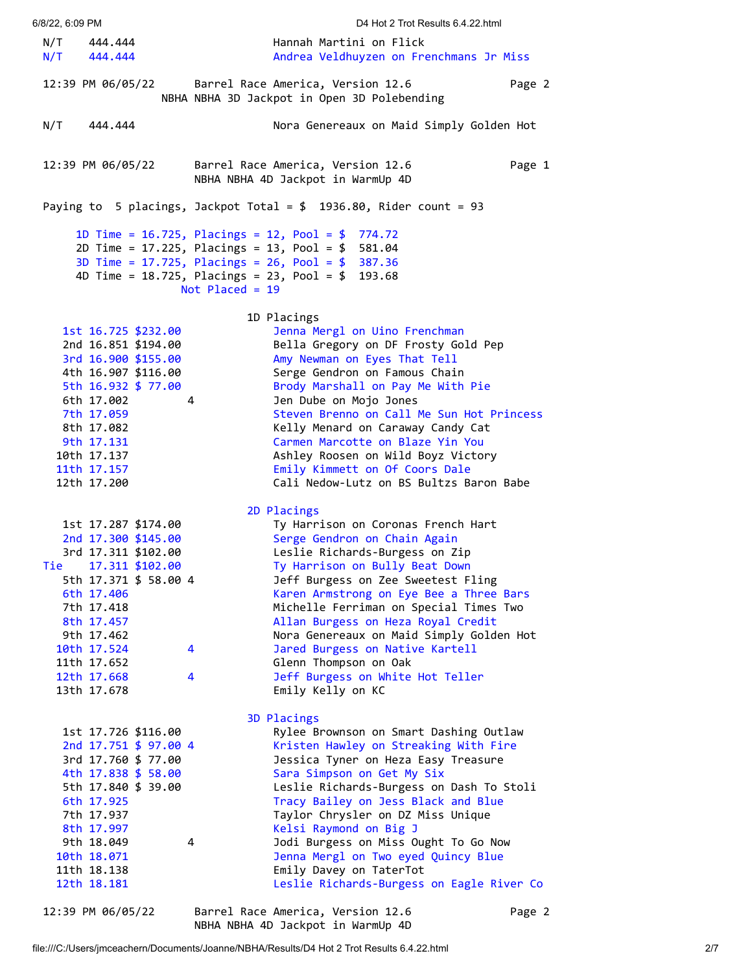6/8/22, 6:09 PM D4 Hot 2 Trot Results 6.4.22.html N/T 444.444 Hannah Martini on Flick N/T 444.444 Andrea Veldhuyzen on Frenchmans Jr Miss 12:39 PM 06/05/22 Barrel Race America, Version 12.6 Page 2 NBHA NBHA 3D Jackpot in Open 3D Polebending N/T 444.444 Nora Genereaux on Maid Simply Golden Hot 12:39 PM 06/05/22 Barrel Race America, Version 12.6 Page 1 NBHA NBHA 4D Jackpot in WarmUp 4D Paying to 5 placings, Jackpot Total = \$ 1936.80, Rider count = 93 1D Time = 16.725, Placings = 12, Pool = \$ 774.72 2D Time = 17.225, Placings = 13, Pool = \$ 581.04 3D Time = 17.725, Placings = 26, Pool = \$ 387.36 4D Time = 18.725, Placings = 23, Pool = \$ 193.68 Not Placed = 19 1D Placings 1st 16.725 \$232.00 Jenna Mergl on Uino Frenchman 2nd 16.851 \$194.00 Bella Gregory on DF Frosty Gold Pep 3rd 16.900 \$155.00 Amy Newman on Eyes That Tell 4th 16.907 \$116.00 Serge Gendron on Famous Chain 5th 16.932 \$ 77.00 Brody Marshall on Pay Me With Pie 6th 17.002 4 Jen Dube on Mojo Jones 7th 17.059 Steven Brenno on Call Me Sun Hot Princess 8th 17.082 Kelly Menard on Caraway Candy Cat 9th 17.131 Carmen Marcotte on Blaze Yin You 10th 17.137 Ashley Roosen on Wild Boyz Victory 11th 17.157 Emily Kimmett on Of Coors Dale 12th 17.200 Cali Nedow-Lutz on BS Bultzs Baron Babe 2D Placings 1st 17.287 \$174.00 Ty Harrison on Coronas French Hart 2nd 17.300 \$145.00 Serge Gendron on Chain Again 3rd 17.311 \$102.00 Leslie Richards-Burgess on Zip Tie 17.311 \$102.00 Ty Harrison on Bully Beat Down 5th 17.371 \$ 58.00 4 Jeff Burgess on Zee Sweetest Fling 6th 17.406 Karen Armstrong on Eye Bee a Three Bars 7th 17.418 Michelle Ferriman on Special Times Two 8th 17.457 Allan Burgess on Heza Royal Credit 9th 17.462 Nora Genereaux on Maid Simply Golden Hot 10th 17.524 4 Jared Burgess on Native Kartell 11th 17.652 Glenn Thompson on Oak 12th 17.668 4 Jeff Burgess on White Hot Teller 13th 17.678 Emily Kelly on KC 3D Placings 1st 17.726 \$116.00 Rylee Brownson on Smart Dashing Outlaw 2nd 17.751 \$ 97.00 4 Kristen Hawley on Streaking With Fire 3rd 17.760 \$ 77.00 Jessica Tyner on Heza Easy Treasure 4th 17.838 \$ 58.00 Sara Simpson on Get My Six 5th 17.840 \$ 39.00 Leslie Richards-Burgess on Dash To Stoli 6th 17.925 Tracy Bailey on Jess Black and Blue 7th 17.937 Taylor Chrysler on DZ Miss Unique 8th 17.997 Kelsi Raymond on Big J 9th 18.049 4 30di Burgess on Miss Ought To Go Now 10th 18.071 Jenna Mergl on Two eyed Quincy Blue 11th 18.138 Emily Davey on TaterTot 12th 18.181 Leslie Richards-Burgess on Eagle River Co 12:39 PM 06/05/22 Barrel Race America, Version 12.6 Page 2

file:///C:/Users/jmceachern/Documents/Joanne/NBHA/Results/D4 Hot 2 Trot Results 6.4.22.html 2/7 NBHA NBHA 4D Jackpot in WarmUp 4D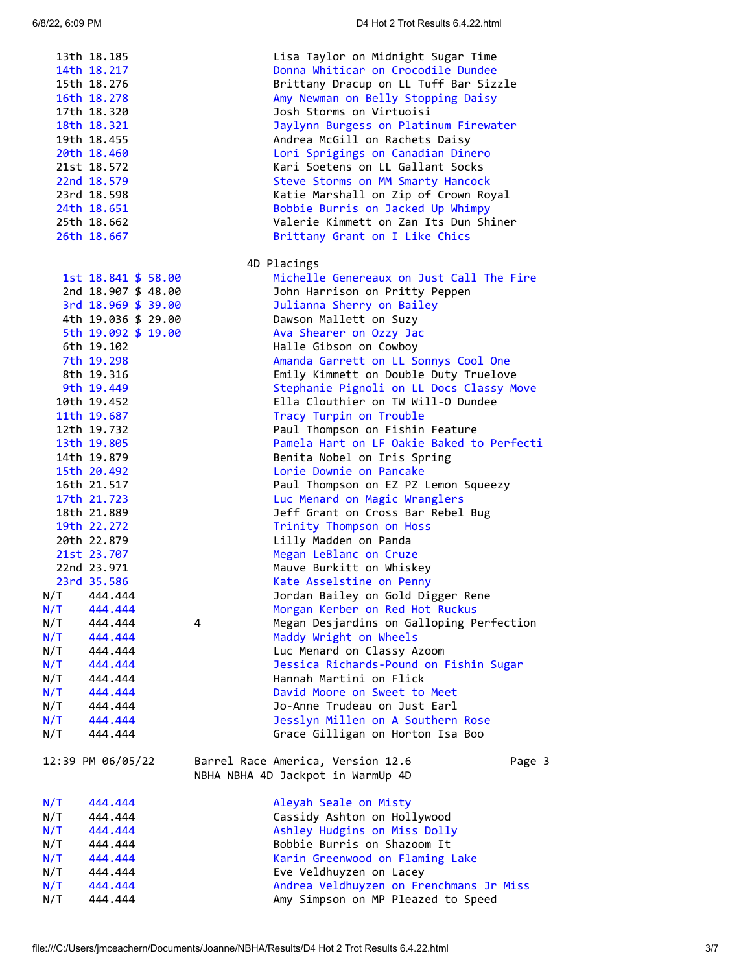|     | 13th 18.185<br>14th 18.217<br>15th 18.276<br>16th 18.278<br>17th 18.320<br>18th 18.321<br>19th 18.455 |   | Lisa Taylor on Midnight Sugar Time<br>Donna Whiticar on Crocodile Dundee<br>Brittany Dracup on LL Tuff Bar Sizzle<br>Amy Newman on Belly Stopping Daisy<br>Josh Storms on Virtuoisi<br>Jaylynn Burgess on Platinum Firewater<br>Andrea McGill on Rachets Daisy |
|-----|-------------------------------------------------------------------------------------------------------|---|----------------------------------------------------------------------------------------------------------------------------------------------------------------------------------------------------------------------------------------------------------------|
|     | 20th 18.460                                                                                           |   | Lori Sprigings on Canadian Dinero                                                                                                                                                                                                                              |
|     | 21st 18.572<br>22nd 18.579                                                                            |   | Kari Soetens on LL Gallant Socks<br>Steve Storms on MM Smarty Hancock                                                                                                                                                                                          |
|     | 23rd 18.598                                                                                           |   | Katie Marshall on Zip of Crown Royal                                                                                                                                                                                                                           |
|     | 24th 18.651                                                                                           |   | Bobbie Burris on Jacked Up Whimpy                                                                                                                                                                                                                              |
|     | 25th 18.662                                                                                           |   | Valerie Kimmett on Zan Its Dun Shiner                                                                                                                                                                                                                          |
|     | 26th 18.667                                                                                           |   | Brittany Grant on I Like Chics                                                                                                                                                                                                                                 |
|     |                                                                                                       |   | 4D Placings                                                                                                                                                                                                                                                    |
|     | 1st 18.841 \$ 58.00                                                                                   |   | Michelle Genereaux on Just Call The Fire                                                                                                                                                                                                                       |
|     | 2nd 18.907 \$ 48.00                                                                                   |   | John Harrison on Pritty Peppen                                                                                                                                                                                                                                 |
|     | 3rd $18.969 \text{ } $39.00$                                                                          |   | Julianna Sherry on Bailey                                                                                                                                                                                                                                      |
|     | 4th 19.036 \$ 29.00                                                                                   |   | Dawson Mallett on Suzy                                                                                                                                                                                                                                         |
|     | 5th 19.092 \$ 19.00                                                                                   |   | Ava Shearer on Ozzy Jac                                                                                                                                                                                                                                        |
|     | 6th 19.102                                                                                            |   | Halle Gibson on Cowboy                                                                                                                                                                                                                                         |
|     | 7th 19.298<br>8th 19.316                                                                              |   | Amanda Garrett on LL Sonnys Cool One<br>Emily Kimmett on Double Duty Truelove                                                                                                                                                                                  |
|     | 9th 19.449                                                                                            |   | Stephanie Pignoli on LL Docs Classy Move                                                                                                                                                                                                                       |
|     | 10th 19.452                                                                                           |   | Ella Clouthier on TW Will-O Dundee                                                                                                                                                                                                                             |
|     | 11th 19.687                                                                                           |   | Tracy Turpin on Trouble                                                                                                                                                                                                                                        |
|     | 12th 19.732                                                                                           |   | Paul Thompson on Fishin Feature                                                                                                                                                                                                                                |
|     | 13th 19.805                                                                                           |   | Pamela Hart on LF Oakie Baked to Perfecti                                                                                                                                                                                                                      |
|     | 14th 19.879                                                                                           |   | Benita Nobel on Iris Spring                                                                                                                                                                                                                                    |
|     | 15th 20.492                                                                                           |   | Lorie Downie on Pancake                                                                                                                                                                                                                                        |
|     | 16th 21.517                                                                                           |   | Paul Thompson on EZ PZ Lemon Squeezy                                                                                                                                                                                                                           |
|     | 17th 21.723                                                                                           |   | Luc Menard on Magic Wranglers                                                                                                                                                                                                                                  |
|     | 18th 21.889                                                                                           |   | Jeff Grant on Cross Bar Rebel Bug                                                                                                                                                                                                                              |
|     | 19th 22.272                                                                                           |   | Trinity Thompson on Hoss                                                                                                                                                                                                                                       |
|     | 20th 22.879                                                                                           |   | Lilly Madden on Panda                                                                                                                                                                                                                                          |
|     | 21st 23.707<br>22nd 23.971                                                                            |   | Megan LeBlanc on Cruze                                                                                                                                                                                                                                         |
|     | 23rd 35.586                                                                                           |   | Mauve Burkitt on Whiskey<br>Kate Asselstine on Penny                                                                                                                                                                                                           |
|     | N/T 444.444                                                                                           |   | Jordan Bailey on Gold Digger Rene                                                                                                                                                                                                                              |
| N/T | 444.444                                                                                               |   | Morgan Kerber on Red Hot Ruckus                                                                                                                                                                                                                                |
| N/T | 444,444                                                                                               | 4 | Megan Desjardins on Galloping Perfection                                                                                                                                                                                                                       |
| N/T | 444.444                                                                                               |   | Maddy Wright on Wheels                                                                                                                                                                                                                                         |
| N/T | 444,444                                                                                               |   | Luc Menard on Classy Azoom                                                                                                                                                                                                                                     |
| N/T | 444.444                                                                                               |   | Jessica Richards-Pound on Fishin Sugar                                                                                                                                                                                                                         |
| N/T | 444,444                                                                                               |   | Hannah Martini on Flick                                                                                                                                                                                                                                        |
| N/T | 444.444                                                                                               |   | David Moore on Sweet to Meet                                                                                                                                                                                                                                   |
| N/T | 444,444                                                                                               |   | Jo-Anne Trudeau on Just Earl                                                                                                                                                                                                                                   |
| N/T | 444.444                                                                                               |   | Jesslyn Millen on A Southern Rose                                                                                                                                                                                                                              |
| N/T | 444.444                                                                                               |   | Grace Gilligan on Horton Isa Boo                                                                                                                                                                                                                               |
|     | 12:39 PM 06/05/22                                                                                     |   | Barrel Race America, Version 12.6<br>Page 3<br>NBHA NBHA 4D Jackpot in WarmUp 4D                                                                                                                                                                               |
| N/T | 444.444                                                                                               |   | Aleyah Seale on Misty                                                                                                                                                                                                                                          |
| N/T | 444,444                                                                                               |   | Cassidy Ashton on Hollywood                                                                                                                                                                                                                                    |
| N/T | 444.444                                                                                               |   | Ashley Hudgins on Miss Dolly                                                                                                                                                                                                                                   |
| N/T | 444,444                                                                                               |   | Bobbie Burris on Shazoom It                                                                                                                                                                                                                                    |
| N/T | 444.444                                                                                               |   | Karin Greenwood on Flaming Lake                                                                                                                                                                                                                                |
| N/T | 444,444                                                                                               |   | Eve Veldhuyzen on Lacey                                                                                                                                                                                                                                        |
| N/T | 444.444                                                                                               |   | Andrea Veldhuyzen on Frenchmans Jr Miss                                                                                                                                                                                                                        |
| N/T | 444.444                                                                                               |   | Amy Simpson on MP Pleazed to Speed                                                                                                                                                                                                                             |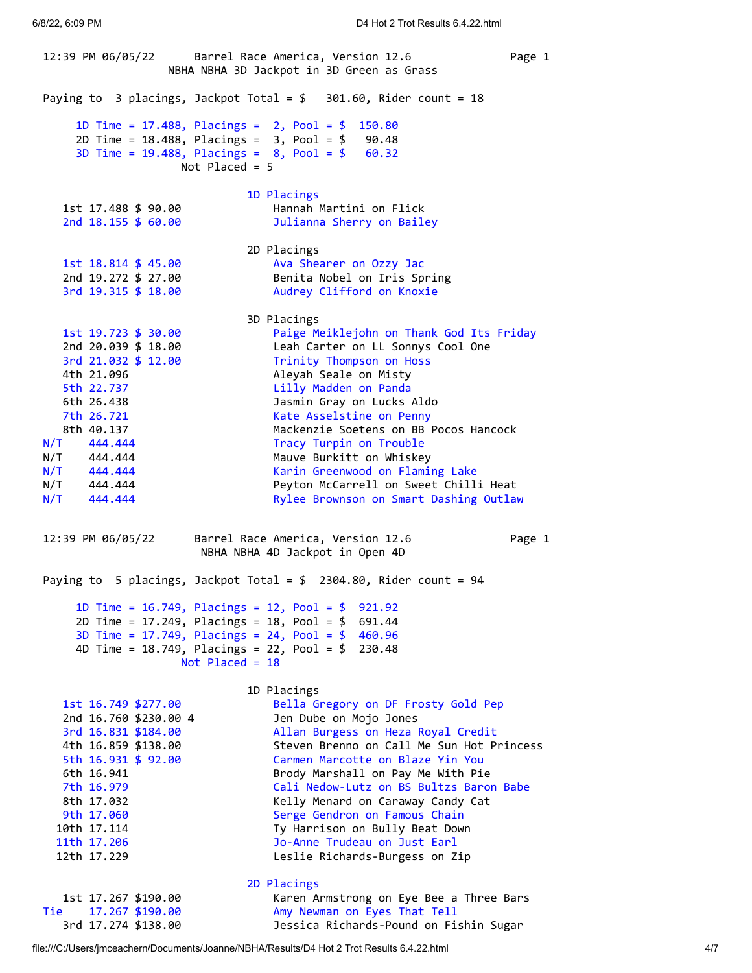12:39 PM 06/05/22 Barrel Race America, Version 12.6 Page 1 NBHA NBHA 3D Jackpot in 3D Green as Grass Paying to 3 placings, Jackpot Total = \$ 301.60, Rider count = 18 1D Time = 17.488, Placings = 2, Pool = \$ 150.80 2D Time = 18.488, Placings = 3, Pool = \$ 90.48 3D Time = 19.488, Placings = 8, Pool = \$ 60.32 Not Placed = 5 1D Placings 1st 17.488 \$ 90.00 Hannah Martini on Flick 2nd 18.155 \$ 60.00 Julianna Sherry on Bailey 2D Placings 1st 18.814 \$ 45.00 Ava Shearer on Ozzy Jac<br>
2nd 19.272 \$ 27.00 Benita Nobel on Iris Sp Benita Nobel on Iris Spring 3rd 19.315 \$ 18.00 Audrey Clifford on Knoxie 3D Placings 1st 19.723 \$ 30.00 Paige Meiklejohn on Thank God Its Friday 2nd 20.039 \$ 18.00 Leah Carter on LL Sonnys Cool One 3rd 21.032 \$ 12.00 Trinity Thompson on Hoss 4th 21.096 Aleyah Seale on Misty 5th 22.737 Lilly Madden on Panda 6th 26.438 Jasmin Gray on Lucks Aldo 7th 26.721 Kate Asselstine on Penny 8th 40.137 Mackenzie Soetens on BB Pocos Hancock N/T 444.444 Tracy Turpin on Trouble N/T 444.444 Mauve Burkitt on Whiskey N/T 444.444 Karin Greenwood on Flaming Lake N/T 444.444 **Peyton McCarrell on Sweet Chilli Heat** N/T 444.444 Rylee Brownson on Smart Dashing Outlaw 12:39 PM 06/05/22 Barrel Race America, Version 12.6 Page 1 NBHA NBHA 4D Jackpot in Open 4D Paying to 5 placings, Jackpot Total = \$ 2304.80, Rider count = 94 1D Time = 16.749, Placings = 12, Pool = \$ 921.92 2D Time = 17.249, Placings = 18, Pool = \$ 691.44 3D Time = 17.749, Placings = 24, Pool = \$ 460.96 4D Time = 18.749, Placings = 22, Pool = \$ 230.48 Not Placed = 18 1D Placings 1st 16.749 \$277.00 Bella Gregory on DF Frosty Gold Pep 2nd 16.760 \$230.00 4 Jen Dube on Mojo Jones 3rd 16.831 \$184.00 Allan Burgess on Heza Royal Credit 4th 16.859 \$138.00 Steven Brenno on Call Me Sun Hot Princess 5th 16.931 \$ 92.00 Carmen Marcotte on Blaze Yin You 6th 16.941 Brody Marshall on Pay Me With Pie 7th 16.979 Cali Nedow-Lutz on BS Bultzs Baron Babe 8th 17.032 Kelly Menard on Caraway Candy Cat 9th 17.060 Serge Gendron on Famous Chain 10th 17.114 Ty Harrison on Bully Beat Down 11th 17.206 Jo-Anne Trudeau on Just Earl 12th 17.229 Leslie Richards-Burgess on Zip 2D Placings 1st 17.267 \$190.00 Karen Armstrong on Eye Bee a Three Bars Tie 17.267 \$190.00 Amy Newman on Eyes That Tell

3rd 17.274 \$138.00 Jessica Richards-Pound on Fishin Sugar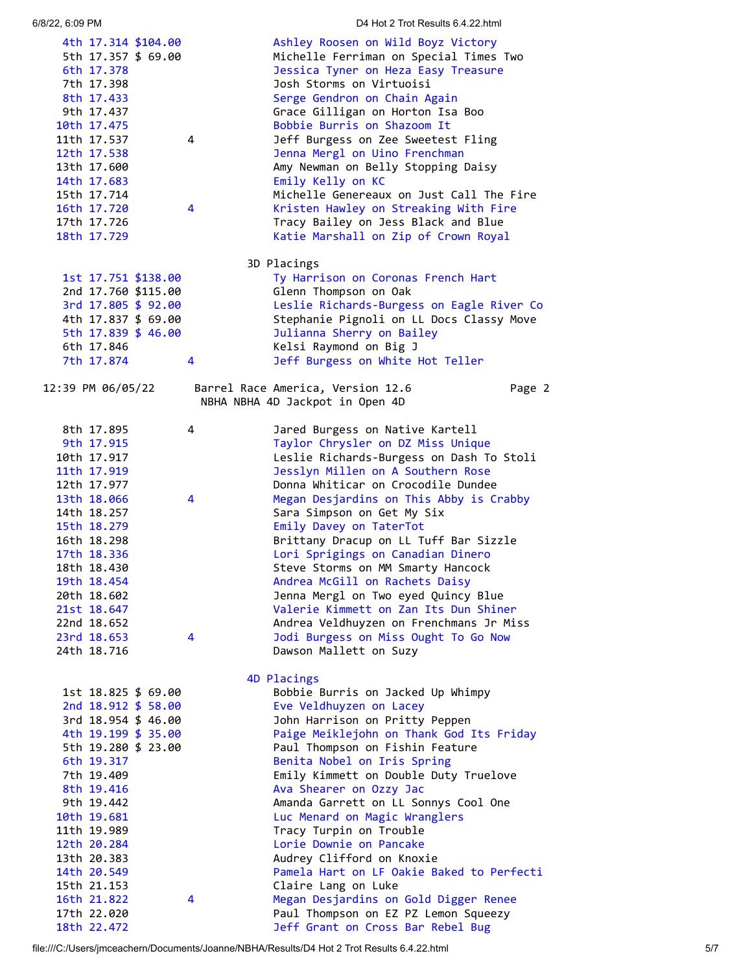|                            |             |                          |  | 4th 17.314 \$104.00                        |   | Ashley Roosen on Wild Boyz Victory                                         |  |  |  |  |
|----------------------------|-------------|--------------------------|--|--------------------------------------------|---|----------------------------------------------------------------------------|--|--|--|--|
|                            |             |                          |  | 5th 17.357 \$ 69.00                        |   | Michelle Ferriman on Special Times Two                                     |  |  |  |  |
|                            |             | 6th 17.378<br>7th 17.398 |  |                                            |   | Jessica Tyner on Heza Easy Treasure<br>Josh Storms on Virtuoisi            |  |  |  |  |
|                            |             | 8th 17.433               |  |                                            |   | Serge Gendron on Chain Again                                               |  |  |  |  |
|                            |             | 9th 17.437               |  |                                            |   | Grace Gilligan on Horton Isa Boo                                           |  |  |  |  |
| 10th 17.475                |             |                          |  |                                            |   | Bobbie Burris on Shazoom It                                                |  |  |  |  |
| 11th 17.537                |             |                          |  |                                            | 4 | Jeff Burgess on Zee Sweetest Fling                                         |  |  |  |  |
| 12th 17.538                |             |                          |  |                                            |   | Jenna Mergl on Uino Frenchman                                              |  |  |  |  |
| 13th 17.600<br>14th 17.683 |             |                          |  |                                            |   | Amy Newman on Belly Stopping Daisy<br>Emily Kelly on KC                    |  |  |  |  |
| 15th 17.714                |             |                          |  |                                            |   | Michelle Genereaux on Just Call The Fire                                   |  |  |  |  |
| 16th 17.720                |             |                          |  |                                            | 4 | Kristen Hawley on Streaking With Fire                                      |  |  |  |  |
| 17th 17.726                |             |                          |  |                                            |   | Tracy Bailey on Jess Black and Blue                                        |  |  |  |  |
| 18th 17.729                |             |                          |  |                                            |   | Katie Marshall on Zip of Crown Royal                                       |  |  |  |  |
|                            | 3D Placings |                          |  |                                            |   |                                                                            |  |  |  |  |
|                            |             |                          |  | 1st 17.751 \$138.00                        |   | Ty Harrison on Coronas French Hart                                         |  |  |  |  |
|                            |             |                          |  | 2nd 17.760 \$115.00                        |   | Glenn Thompson on Oak                                                      |  |  |  |  |
|                            |             |                          |  | 3rd 17.805 \$ 92.00                        |   | Leslie Richards-Burgess on Eagle River Co                                  |  |  |  |  |
|                            |             |                          |  | 4th 17.837 \$ 69.00                        |   | Stephanie Pignoli on LL Docs Classy Move                                   |  |  |  |  |
|                            |             | 6th 17.846               |  | 5th 17.839 \$ 46.00                        |   | Julianna Sherry on Bailey                                                  |  |  |  |  |
|                            |             | 7th 17.874               |  |                                            | 4 | Kelsi Raymond on Big J<br>Jeff Burgess on White Hot Teller                 |  |  |  |  |
|                            |             |                          |  |                                            |   |                                                                            |  |  |  |  |
| 12:39 PM 06/05/22          |             |                          |  |                                            |   | Barrel Race America, Version 12.6<br>Page 2                                |  |  |  |  |
|                            |             |                          |  |                                            |   | NBHA NBHA 4D Jackpot in Open 4D                                            |  |  |  |  |
|                            |             | 8th 17.895               |  |                                            | 4 | Jared Burgess on Native Kartell                                            |  |  |  |  |
|                            |             | 9th 17.915               |  |                                            |   | Taylor Chrysler on DZ Miss Unique                                          |  |  |  |  |
| 10th 17.917                |             |                          |  |                                            |   | Leslie Richards-Burgess on Dash To Stoli                                   |  |  |  |  |
| 11th 17.919                |             |                          |  |                                            |   | Jesslyn Millen on A Southern Rose                                          |  |  |  |  |
| 12th 17.977                |             |                          |  |                                            |   | Donna Whiticar on Crocodile Dundee                                         |  |  |  |  |
| 13th 18.066                |             |                          |  |                                            | 4 | Megan Desjardins on This Abby is Crabby                                    |  |  |  |  |
| 14th 18.257                |             |                          |  |                                            |   | Sara Simpson on Get My Six<br>Emily Davey on TaterTot                      |  |  |  |  |
| 15th 18.279<br>16th 18.298 |             |                          |  |                                            |   | Brittany Dracup on LL Tuff Bar Sizzle                                      |  |  |  |  |
| 17th 18.336                |             |                          |  |                                            |   | Lori Sprigings on Canadian Dinero                                          |  |  |  |  |
| 18th 18.430                |             |                          |  |                                            |   | Steve Storms on MM Smarty Hancock                                          |  |  |  |  |
| 19th 18.454                |             |                          |  |                                            |   | Andrea McGill on Rachets Daisy                                             |  |  |  |  |
| 20th 18.602                |             |                          |  |                                            |   | Jenna Mergl on Two eyed Quincy Blue                                        |  |  |  |  |
| 21st 18.647                |             |                          |  |                                            |   | Valerie Kimmett on Zan Its Dun Shiner                                      |  |  |  |  |
| 22nd 18.652                |             |                          |  |                                            |   | Andrea Veldhuyzen on Frenchmans Jr Miss                                    |  |  |  |  |
| 23rd 18.653                |             |                          |  |                                            | 4 | Jodi Burgess on Miss Ought To Go Now                                       |  |  |  |  |
| 24th 18.716                |             |                          |  |                                            |   | Dawson Mallett on Suzy                                                     |  |  |  |  |
|                            |             |                          |  |                                            |   | 4D Placings                                                                |  |  |  |  |
|                            |             |                          |  | 1st 18.825 \$ 69.00                        |   | Bobbie Burris on Jacked Up Whimpy                                          |  |  |  |  |
|                            |             |                          |  | 2nd 18.912 \$ 58.00                        |   | Eve Veldhuyzen on Lacey                                                    |  |  |  |  |
|                            |             |                          |  | 3rd 18.954 \$ 46.00<br>4th 19.199 \$ 35.00 |   | John Harrison on Pritty Peppen<br>Paige Meiklejohn on Thank God Its Friday |  |  |  |  |
|                            |             |                          |  | 5th 19.280 \$ 23.00                        |   | Paul Thompson on Fishin Feature                                            |  |  |  |  |
|                            |             | 6th 19.317               |  |                                            |   | Benita Nobel on Iris Spring                                                |  |  |  |  |
|                            |             | 7th 19.409               |  |                                            |   | Emily Kimmett on Double Duty Truelove                                      |  |  |  |  |
|                            |             | 8th 19.416               |  |                                            |   | Ava Shearer on Ozzy Jac                                                    |  |  |  |  |
|                            |             | 9th 19.442               |  |                                            |   | Amanda Garrett on LL Sonnys Cool One                                       |  |  |  |  |
| 10th 19.681                |             |                          |  |                                            |   | Luc Menard on Magic Wranglers                                              |  |  |  |  |
| 11th 19.989                |             |                          |  |                                            |   | Tracy Turpin on Trouble                                                    |  |  |  |  |
| 12th 20.284                |             |                          |  |                                            |   | Lorie Downie on Pancake                                                    |  |  |  |  |
| 13th 20.383                |             |                          |  |                                            |   | Audrey Clifford on Knoxie                                                  |  |  |  |  |
| 14th 20.549                |             |                          |  |                                            |   | Pamela Hart on LF Oakie Baked to Perfecti                                  |  |  |  |  |
| 15th 21.153<br>16th 21.822 |             |                          |  |                                            | 4 | Claire Lang on Luke<br>Megan Desjardins on Gold Digger Renee               |  |  |  |  |
| 17th 22.020                |             |                          |  |                                            |   | Paul Thompson on EZ PZ Lemon Squeezy                                       |  |  |  |  |
| 18th 22.472                |             |                          |  |                                            |   | Jeff Grant on Cross Bar Rebel Bug                                          |  |  |  |  |
|                            |             |                          |  |                                            |   |                                                                            |  |  |  |  |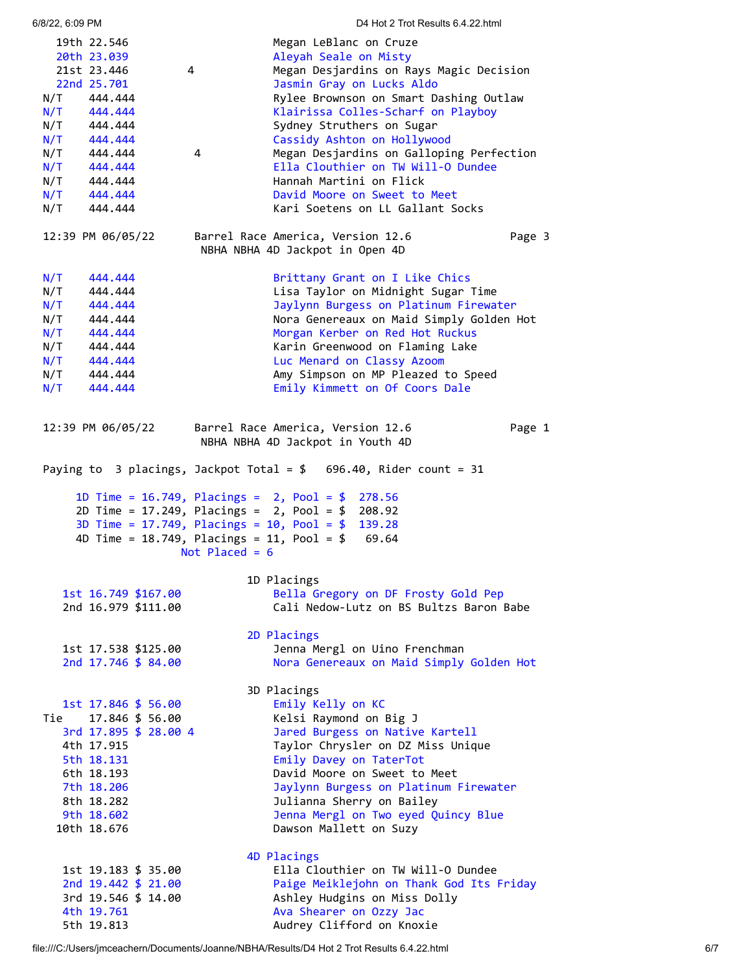| 6/8/22, 6:09 PM                                                    | D4 Hot 2 Trot Results 6.4.22.html                                    |  |  |  |  |  |  |
|--------------------------------------------------------------------|----------------------------------------------------------------------|--|--|--|--|--|--|
| 19th 22.546                                                        | Megan LeBlanc on Cruze                                               |  |  |  |  |  |  |
| 20th 23.039                                                        | Aleyah Seale on Misty                                                |  |  |  |  |  |  |
| 21st 23.446                                                        | $\overline{4}$<br>Megan Desjardins on Rays Magic Decision            |  |  |  |  |  |  |
| 22nd 25.701                                                        | Jasmin Gray on Lucks Aldo                                            |  |  |  |  |  |  |
| N/T 444.444                                                        | Rylee Brownson on Smart Dashing Outlaw                               |  |  |  |  |  |  |
| N/T<br>444.444                                                     | Klairissa Colles-Scharf on Playboy                                   |  |  |  |  |  |  |
| N/T 444.444                                                        | Sydney Struthers on Sugar                                            |  |  |  |  |  |  |
| N/T 444.444                                                        | Cassidy Ashton on Hollywood                                          |  |  |  |  |  |  |
| N/T<br>444.444                                                     | Megan Desjardins on Galloping Perfection<br>4                        |  |  |  |  |  |  |
| N/T<br>444.444                                                     | Ella Clouthier on TW Will-O Dundee<br>Hannah Martini on Flick        |  |  |  |  |  |  |
| N/T<br>444.444<br>N/T<br>444.444                                   | David Moore on Sweet to Meet                                         |  |  |  |  |  |  |
| N/T<br>444.444                                                     | Kari Soetens on LL Gallant Socks                                     |  |  |  |  |  |  |
| 12:39 PM 06/05/22                                                  | Barrel Race America, Version 12.6<br>Page 3                          |  |  |  |  |  |  |
|                                                                    | NBHA NBHA 4D Jackpot in Open 4D                                      |  |  |  |  |  |  |
|                                                                    |                                                                      |  |  |  |  |  |  |
| N/T<br>444,444<br>N/T<br>444.444                                   | Brittany Grant on I Like Chics<br>Lisa Taylor on Midnight Sugar Time |  |  |  |  |  |  |
| N/T<br>444.444                                                     | Jaylynn Burgess on Platinum Firewater                                |  |  |  |  |  |  |
| N/T<br>444.444                                                     | Nora Genereaux on Maid Simply Golden Hot                             |  |  |  |  |  |  |
| N/T<br>444.444                                                     | Morgan Kerber on Red Hot Ruckus                                      |  |  |  |  |  |  |
| N/T<br>444.444                                                     | Karin Greenwood on Flaming Lake                                      |  |  |  |  |  |  |
| N/T<br>444.444                                                     | Luc Menard on Classy Azoom                                           |  |  |  |  |  |  |
| N/T<br>444.444                                                     | Amy Simpson on MP Pleazed to Speed                                   |  |  |  |  |  |  |
| N/T<br>444.444                                                     | Emily Kimmett on Of Coors Dale                                       |  |  |  |  |  |  |
|                                                                    |                                                                      |  |  |  |  |  |  |
| 12:39 PM 06/05/22                                                  | Barrel Race America, Version 12.6<br>Page 1                          |  |  |  |  |  |  |
|                                                                    | NBHA NBHA 4D Jackpot in Youth 4D                                     |  |  |  |  |  |  |
| Paying to 3 placings, Jackpot Total = $$696.40$ , Rider count = 31 |                                                                      |  |  |  |  |  |  |
|                                                                    | 1D Time = $16.749$ , Placings = $2$ , Pool = \$<br>278.56            |  |  |  |  |  |  |
|                                                                    | 2D Time = $17.249$ , Placings = $2$ , Pool = \$ 208.92               |  |  |  |  |  |  |
|                                                                    | 3D Time = $17.749$ , Placings = $10$ , Pool = $$$ 139.28             |  |  |  |  |  |  |
|                                                                    | 4D Time = $18.749$ , Placings = $11$ , Pool = \$ 69.64               |  |  |  |  |  |  |
|                                                                    | Not Placed = $6$                                                     |  |  |  |  |  |  |
|                                                                    | 1D Placings                                                          |  |  |  |  |  |  |
| 1st 16.749 \$167.00                                                | Bella Gregory on DF Frosty Gold Pep                                  |  |  |  |  |  |  |
| 2nd 16.979 \$111.00                                                | Cali Nedow-Lutz on BS Bultzs Baron Babe                              |  |  |  |  |  |  |
|                                                                    | 2D Placings                                                          |  |  |  |  |  |  |
| 1st 17.538 \$125.00                                                | Jenna Mergl on Uino Frenchman                                        |  |  |  |  |  |  |
| 2nd 17.746 \$ 84.00                                                | Nora Genereaux on Maid Simply Golden Hot                             |  |  |  |  |  |  |
|                                                                    | 3D Placings                                                          |  |  |  |  |  |  |
| 1st 17.846 \$ 56.00                                                | Emily Kelly on KC                                                    |  |  |  |  |  |  |
| Tie 17.846 \$ 56.00                                                | Kelsi Raymond on Big J                                               |  |  |  |  |  |  |
| 3rd 17.895 \$ 28.00 4                                              | Jared Burgess on Native Kartell                                      |  |  |  |  |  |  |
| 4th 17.915                                                         | Taylor Chrysler on DZ Miss Unique                                    |  |  |  |  |  |  |
| 5th 18.131                                                         | Emily Davey on TaterTot                                              |  |  |  |  |  |  |
| 6th 18.193                                                         | David Moore on Sweet to Meet                                         |  |  |  |  |  |  |
| 7th 18.206                                                         | Jaylynn Burgess on Platinum Firewater                                |  |  |  |  |  |  |
| 8th 18.282<br>9th 18.602                                           | Julianna Sherry on Bailey<br>Jenna Mergl on Two eyed Quincy Blue     |  |  |  |  |  |  |
| 10th 18.676                                                        | Dawson Mallett on Suzy                                               |  |  |  |  |  |  |
|                                                                    |                                                                      |  |  |  |  |  |  |
|                                                                    | 4D Placings<br>Ella Clouthier on TW Will-O Dundee                    |  |  |  |  |  |  |
| 1st 19.183 \$ 35.00<br>2nd 19.442 \$ 21.00                         | Paige Meiklejohn on Thank God Its Friday                             |  |  |  |  |  |  |
| 3rd 19.546 \$ 14.00                                                | Ashley Hudgins on Miss Dolly                                         |  |  |  |  |  |  |
| 4th 19.761                                                         | Ava Shearer on Ozzy Jac                                              |  |  |  |  |  |  |
| 5th 19.813                                                         | Audrey Clifford on Knoxie                                            |  |  |  |  |  |  |